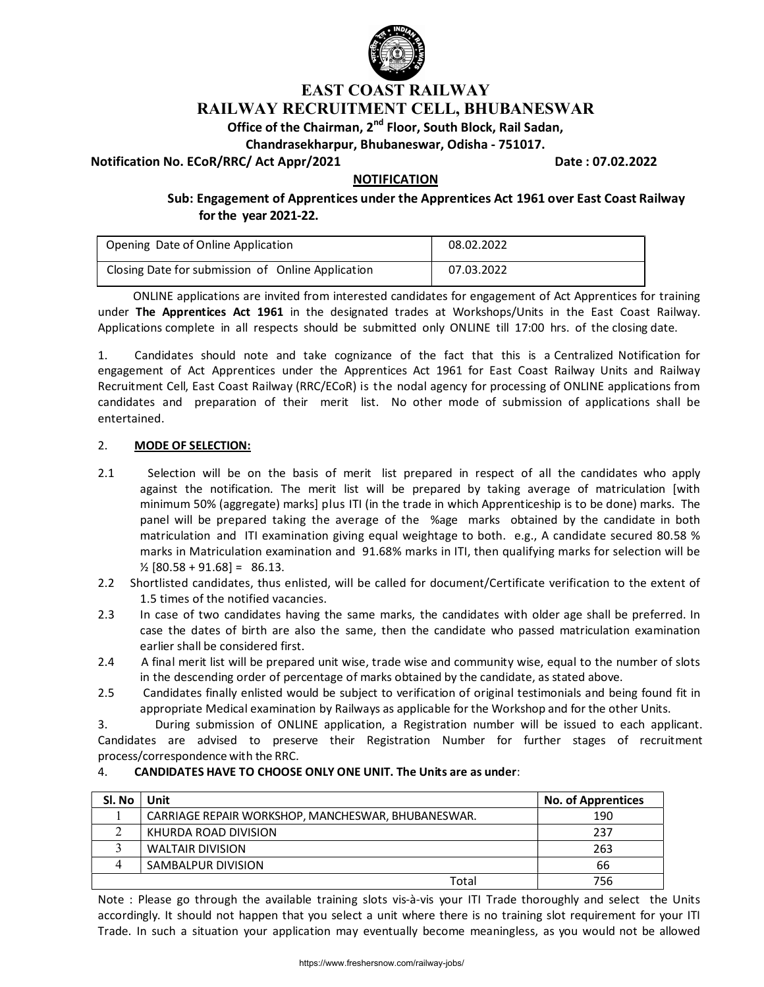

# EAST COAST RAILWAY RAILWAY RECRUITMENT CELL, BHUBANESWAR

# Office of the Chairman, 2<sup>nd</sup> Floor, South Block, Rail Sadan,

Chandrasekharpur, Bhubaneswar, Odisha - 751017.

Notification No. ECoR/RRC/ Act Appr/2021 **Date : 07.02.2022** Date : 07.02.2022

## NOTIFICATION

Sub: Engagement of Apprentices under the Apprentices Act 1961 over East Coast Railway for the year 2021-22.

| Opening Date of Online Application                | 08.02.2022 |
|---------------------------------------------------|------------|
| Closing Date for submission of Online Application | 07.03.2022 |

ONLINE applications are invited from interested candidates for engagement of Act Apprentices for training under The Apprentices Act 1961 in the designated trades at Workshops/Units in the East Coast Railway. Applications complete in all respects should be submitted only ONLINE till 17:00 hrs. of the closing date.

1. Candidates should note and take cognizance of the fact that this is a Centralized Notification for engagement of Act Apprentices under the Apprentices Act 1961 for East Coast Railway Units and Railway Recruitment Cell, East Coast Railway (RRC/ECoR) is the nodal agency for processing of ONLINE applications from candidates and preparation of their merit list. No other mode of submission of applications shall be entertained.

### 2. MODE OF SELECTION:

- 2.1 Selection will be on the basis of merit list prepared in respect of all the candidates who apply against the notification. The merit list will be prepared by taking average of matriculation [with minimum 50% (aggregate) marks] plus ITI (in the trade in which Apprenticeship is to be done) marks. The panel will be prepared taking the average of the %age marks obtained by the candidate in both matriculation and ITI examination giving equal weightage to both. e.g., A candidate secured 80.58 % marks in Matriculation examination and 91.68% marks in ITI, then qualifying marks for selection will be  $\frac{1}{2}$  [80.58 + 91.68] = 86.13.
- 2.2 Shortlisted candidates, thus enlisted, will be called for document/Certificate verification to the extent of 1.5 times of the notified vacancies.
- 2.3 In case of two candidates having the same marks, the candidates with older age shall be preferred. In case the dates of birth are also the same, then the candidate who passed matriculation examination earlier shall be considered first.
- 2.4 A final merit list will be prepared unit wise, trade wise and community wise, equal to the number of slots in the descending order of percentage of marks obtained by the candidate, as stated above.
- 2.5 Candidates finally enlisted would be subject to verification of original testimonials and being found fit in appropriate Medical examination by Railways as applicable for the Workshop and for the other Units.

3. During submission of ONLINE application, a Registration number will be issued to each applicant. Candidates are advised to preserve their Registration Number for further stages of recruitment process/correspondence with the RRC.

#### 4. CANDIDATES HAVE TO CHOOSE ONLY ONE UNIT. The Units are as under:

| Sl. No | Unit                                               | <b>No. of Apprentices</b> |
|--------|----------------------------------------------------|---------------------------|
|        | CARRIAGE REPAIR WORKSHOP, MANCHESWAR, BHUBANESWAR. | 190                       |
|        | KHURDA ROAD DIVISION                               | 237                       |
|        | <b>WALTAIR DIVISION</b>                            | 263                       |
|        | SAMBALPUR DIVISION                                 | 66                        |
|        | Total                                              | 756                       |

Note : Please go through the available training slots vis-à-vis your ITI Trade thoroughly and select the Units accordingly. It should not happen that you select a unit where there is no training slot requirement for your ITI Trade. In such a situation your application may eventually become meaningless, as you would not be allowed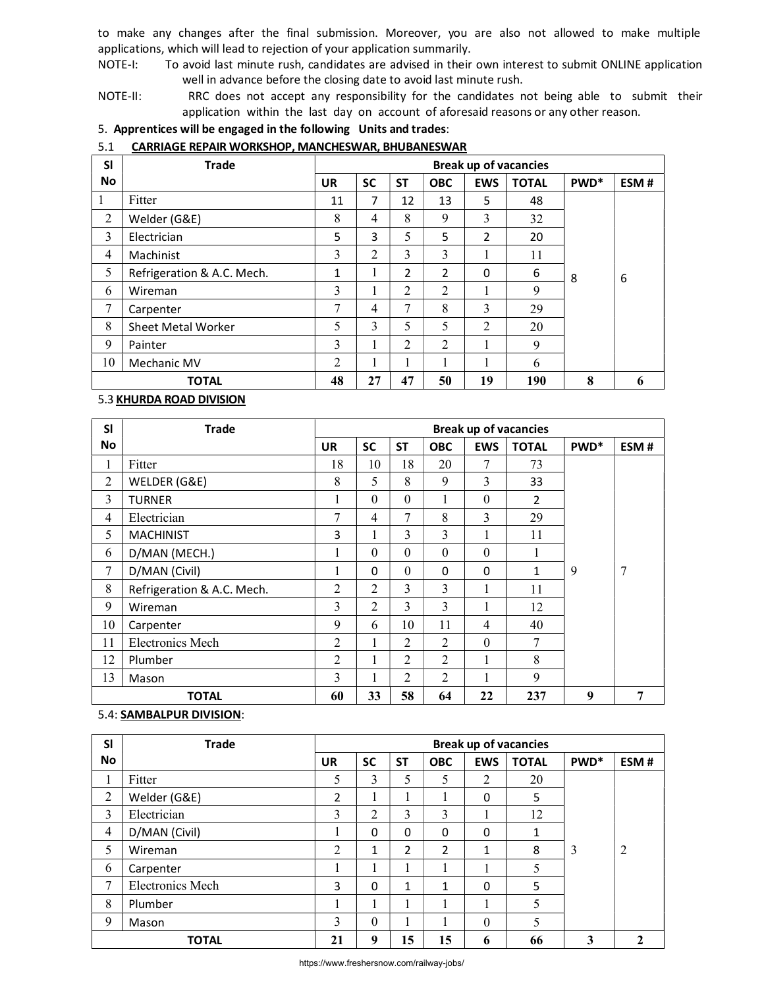to make any changes after the final submission. Moreover, you are also not allowed to make multiple applications, which will lead to rejection of your application summarily.

NOTE-I: To avoid last minute rush, candidates are advised in their own interest to submit ONLINE application well in advance before the closing date to avoid last minute rush.

NOTE-II: RRC does not accept any responsibility for the candidates not being able to submit their application within the last day on account of aforesaid reasons or any other reason.

## 5. Apprentices will be engaged in the following Units and trades:

#### 5.1 CARRIAGE REPAIR WORKSHOP, MANCHESWAR, BHUBANESWAR

| <b>SI</b> | <b>Trade</b>               | <b>Break up of vacancies</b> |                |                |                |            |              |                  |      |
|-----------|----------------------------|------------------------------|----------------|----------------|----------------|------------|--------------|------------------|------|
| <b>No</b> |                            | <b>UR</b>                    | <b>SC</b>      | <b>ST</b>      | <b>OBC</b>     | <b>EWS</b> | <b>TOTAL</b> | PWD <sup>*</sup> | ESM# |
|           | Fitter                     | 11                           | 7              | 12             | 13             | 5          | 48           |                  |      |
| 2         | Welder (G&E)               | 8                            | 4              | 8              | 9              | 3          | 32           |                  |      |
| 3         | Electrician                | 5                            | 3              | 5              | 5              | 2          | 20           |                  |      |
| 4         | Machinist                  | 3                            | $\overline{2}$ | 3              | 3              |            | 11           |                  |      |
| 5         | Refrigeration & A.C. Mech. | 1                            |                | 2              | 2              | 0          | 6            | 8                | 6    |
| 6         | Wireman                    | 3                            |                | $\overline{2}$ | 2              |            | 9            |                  |      |
| 7         | Carpenter                  | 7                            | 4              | 7              | 8              | 3          | 29           |                  |      |
| 8         | <b>Sheet Metal Worker</b>  | 5                            | 3              | 5              | 5              | 2          | 20           |                  |      |
| 9         | Painter                    | 3                            |                | $\mathfrak{D}$ | $\mathfrak{D}$ |            | 9            |                  |      |
| 10        | Mechanic MV                | 2                            |                |                | 1              |            | 6            |                  |      |
|           | <b>TOTAL</b>               | 48                           | 27             | 47             | 50             | 19         | 190          | 8                | 6    |

## 5.3 KHURDA ROAD DIVISION

| <b>SI</b> | <b>Trade</b>               | <b>Break up of vacancies</b> |                |                |            |            |              |                  |      |
|-----------|----------------------------|------------------------------|----------------|----------------|------------|------------|--------------|------------------|------|
| <b>No</b> |                            | <b>UR</b>                    | <b>SC</b>      | <b>ST</b>      | <b>OBC</b> | <b>EWS</b> | <b>TOTAL</b> | PWD <sup>*</sup> | ESM# |
| 1         | Fitter                     | 18                           | 10             | 18             | 20         | 7          | 73           |                  |      |
| 2         | WELDER (G&E)               | 8                            | 5              | 8              | 9          | 3          | 33           |                  |      |
| 3         | <b>TURNER</b>              | 1                            | $\theta$       | $\theta$       | 1          | $\theta$   | 2            |                  |      |
| 4         | Electrician                | 7                            | 4              | 7              | 8          | 3          | 29           |                  |      |
| 5         | <b>MACHINIST</b>           | 3                            |                | 3              | 3          | 1          | 11           |                  |      |
| 6         | D/MAN (MECH.)              | 1                            | $\Omega$       | $\theta$       | $\theta$   | $\Omega$   | 1            |                  |      |
| 7         | D/MAN (Civil)              | $\mathbf{I}$                 | 0              | $\Omega$       | 0          | $\Omega$   | 1            | 9                | 7    |
| 8         | Refrigeration & A.C. Mech. | $\overline{2}$               | $\mathfrak{D}$ | 3              | 3          | 1          | 11           |                  |      |
| 9         | Wireman                    | 3                            | $\overline{2}$ | 3              | 3          | 1          | 12           |                  |      |
| 10        | Carpenter                  | 9                            | 6              | 10             | 11         | 4          | 40           |                  |      |
| 11        | Electronics Mech           | 2                            |                | $\mathfrak{D}$ | 2          | $\Omega$   | 7            |                  |      |
| 12        | Plumber                    | $\overline{2}$               |                | 2              | 2          | 1          | 8            |                  |      |
| 13        | Mason                      | 3                            |                | $\overline{2}$ | 2          | 1          | 9            |                  |      |
|           | <b>TOTAL</b>               | 60                           | 33             | 58             | 64         | 22         | 237          | 9                | 7    |

### 5.4: SAMBALPUR DIVISION:

| <b>SI</b>      | <b>Trade</b>            | <b>Break up of vacancies</b> |                |           |            |              |              |                  |                |
|----------------|-------------------------|------------------------------|----------------|-----------|------------|--------------|--------------|------------------|----------------|
| <b>No</b>      |                         | <b>UR</b>                    | <b>SC</b>      | <b>ST</b> | <b>OBC</b> | <b>EWS</b>   | <b>TOTAL</b> | PWD <sup>*</sup> | ESM#           |
| $\mathbf{I}$   | Fitter                  | 5                            | 3              | 5         | 5          | 2            | 20           |                  |                |
| $\overline{2}$ | Welder (G&E)            | 2                            |                |           |            | 0            | 5            |                  |                |
| 3              | Electrician             | 3                            | $\overline{2}$ | 3         | 3          | 1            | 12           |                  |                |
| $\overline{4}$ | D/MAN (Civil)           |                              | 0              | $\Omega$  | 0          | 0            | 1            |                  |                |
| 5              | Wireman                 | 2                            | 1              | 2         | 2          | $\mathbf{1}$ | 8            | 3                | $\overline{2}$ |
| 6              | Carpenter               | и<br>1                       |                |           |            |              | 5            |                  |                |
| 7              | <b>Electronics Mech</b> | 3                            | $\Omega$       | 1         | 1          | 0            | 5            |                  |                |
| 8              | Plumber                 |                              |                |           |            | 1            | 5            |                  |                |
| 9              | Mason                   | 3                            | $\theta$       |           |            | $\Omega$     | 5            |                  |                |
|                | <b>TOTAL</b>            | 21                           | 9              | 15        | 15         | 6            | 66           | 3                | $\mathbf{2}$   |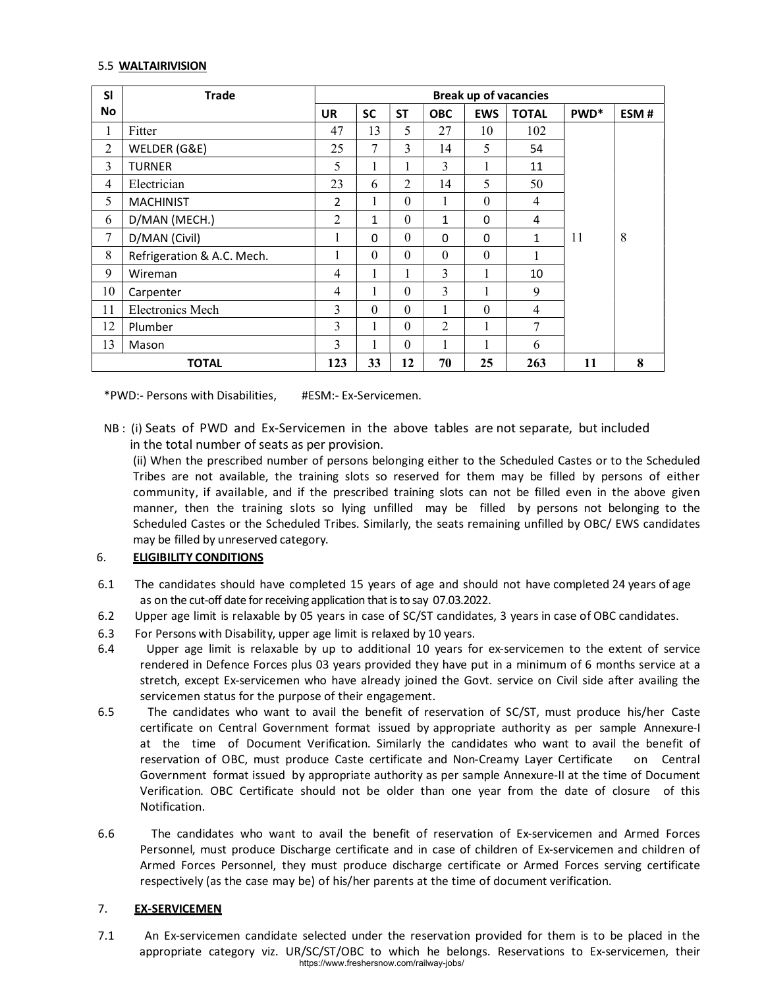### 5.5 WALTAIRIVISION

| <b>SI</b>      | <b>Trade</b>               | <b>Break up of vacancies</b> |              |                |                |            |                |                  |      |
|----------------|----------------------------|------------------------------|--------------|----------------|----------------|------------|----------------|------------------|------|
| <b>No</b>      |                            | <b>UR</b>                    | <b>SC</b>    | <b>ST</b>      | <b>OBC</b>     | <b>EWS</b> | <b>TOTAL</b>   | PWD <sup>*</sup> | ESM# |
| 1              | Fitter                     | 47                           | 13           | 5              | 27             | 10         | 102            |                  |      |
| 2              | WELDER (G&E)               | 25                           | 7            | 3              | 14             | 5          | 54             |                  |      |
| 3              | <b>TURNER</b>              | 5                            |              | 1              | 3              | 1          | 11             |                  |      |
| 4              | Electrician                | 23                           | 6            | $\overline{2}$ | 14             | 5          | 50             |                  |      |
| 5              | <b>MACHINIST</b>           | $\overline{2}$               |              | $\Omega$       | 1              | $\theta$   | $\overline{4}$ |                  |      |
| 6              | D/MAN (MECH.)              | 2                            | $\mathbf{1}$ | $\Omega$       | $\mathbf{1}$   | $\Omega$   | 4              |                  |      |
| $\overline{7}$ | D/MAN (Civil)              | 1                            | 0            | $\Omega$       | 0              | 0          | 1              | 11               | 8    |
| 8              | Refrigeration & A.C. Mech. |                              | $\theta$     | $\Omega$       | $\theta$       | $\Omega$   | 1              |                  |      |
| 9              | Wireman                    | $\overline{4}$               |              | 1              | 3              | 1          | 10             |                  |      |
| 10             | Carpenter                  | $\overline{4}$               |              | $\Omega$       | 3              | 1          | 9              |                  |      |
| 11             | <b>Electronics Mech</b>    | 3                            | $\theta$     | $\Omega$       |                | $\theta$   | 4              |                  |      |
| 12             | Plumber                    | 3                            |              | $\Omega$       | $\overline{2}$ | 1          | 7              |                  |      |
| 13             | Mason                      | 3                            |              | $\Omega$       |                | 1          | 6              |                  |      |
|                | <b>TOTAL</b>               | 123                          | 33           | 12             | 70             | 25         | 263            | 11               | 8    |

\*PWD:- Persons with Disabilities, #ESM:- Ex-Servicemen.

NB : (i) Seats of PWD and Ex-Servicemen in the above tables are not separate, but included in the total number of seats as per provision.

(ii) When the prescribed number of persons belonging either to the Scheduled Castes or to the Scheduled Tribes are not available, the training slots so reserved for them may be filled by persons of either community, if available, and if the prescribed training slots can not be filled even in the above given manner, then the training slots so lying unfilled may be filled by persons not belonging to the Scheduled Castes or the Scheduled Tribes. Similarly, the seats remaining unfilled by OBC/ EWS candidates may be filled by unreserved category.

## **6. ELIGIBILITY CONDITIONS**

- 6.1 The candidates should have completed 15 years of age and should not have completed 24 years of age as on the cut-off date for receiving application that is to say 07.03.2022.
- 6.2 Upper age limit is relaxable by 05 years in case of SC/ST candidates, 3 years in case of OBC candidates.
- 6.3 For Persons with Disability, upper age limit is relaxed by 10 years.
- 6.4 Upper age limit is relaxable by up to additional 10 years for ex-servicemen to the extent of service rendered in Defence Forces plus 03 years provided they have put in a minimum of 6 months service at a stretch, except Ex-servicemen who have already joined the Govt. service on Civil side after availing the servicemen status for the purpose of their engagement.
- 6.5 The candidates who want to avail the benefit of reservation of SC/ST, must produce his/her Caste certificate on Central Government format issued by appropriate authority as per sample Annexure-I at the time of Document Verification. Similarly the candidates who want to avail the benefit of reservation of OBC, must produce Caste certificate and Non-Creamy Layer Certificate on Central Government format issued by appropriate authority as per sample Annexure-II at the time of Document Verification. OBC Certificate should not be older than one year from the date of closure of this Notification.
- 6.6 The candidates who want to avail the benefit of reservation of Ex-servicemen and Armed Forces Personnel, must produce Discharge certificate and in case of children of Ex-servicemen and children of Armed Forces Personnel, they must produce discharge certificate or Armed Forces serving certificate respectively (as the case may be) of his/her parents at the time of document verification.

#### 7. **EX-SERVICEMEN**

7.1 An Ex-servicemen candidate selected under the reservation provided for them is to be placed in the appropriate category viz. UR/SC/ST/OBC to which he belongs. Reservations to Ex-servicemen, their https://www.freshersnow.com/railway-jobs/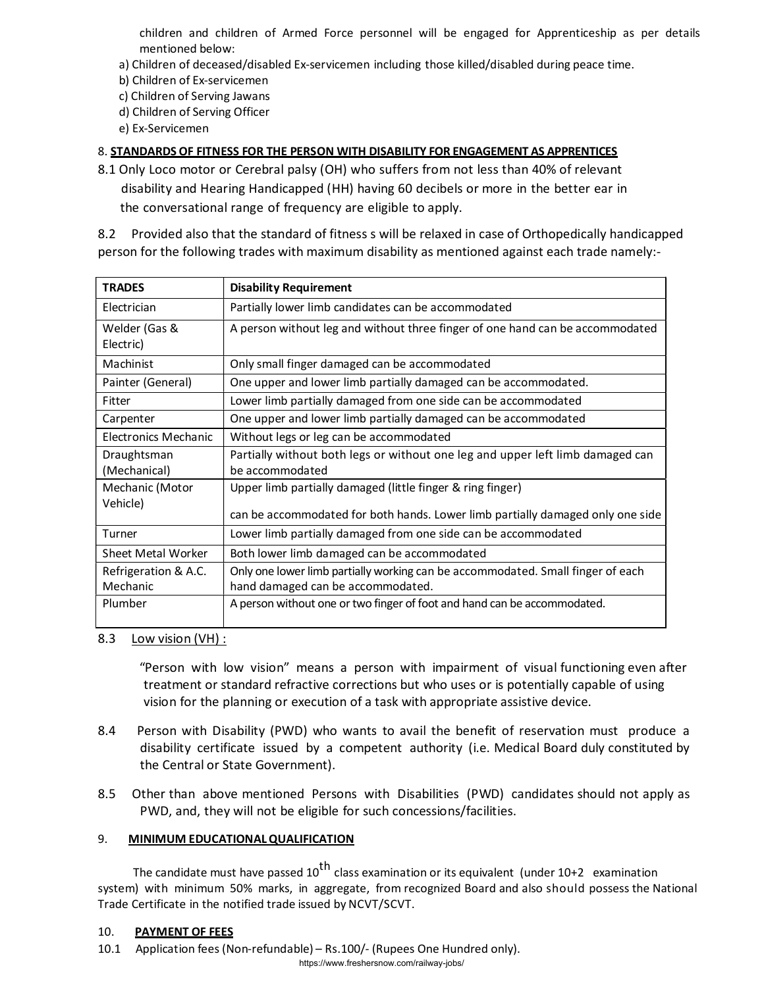children and children of Armed Force personnel will be engaged for Apprenticeship as per details mentioned below:

- a) Children of deceased/disabled Ex-servicemen including those killed/disabled during peace time.
- b) Children of Ex-servicemen
- c) Children of Serving Jawans
- d) Children of Serving Officer
- e) Ex-Servicemen

## 8. STANDARDS OF FITNESS FOR THE PERSON WITH DISABILITY FOR ENGAGEMENT AS APPRENTICES

8.1 Only Loco motor or Cerebral palsy (OH) who suffers from not less than 40% of relevant disability and Hearing Handicapped (HH) having 60 decibels or more in the better ear in the conversational range of frequency are eligible to apply.

8.2 Provided also that the standard of fitness s will be relaxed in case of Orthopedically handicapped person for the following trades with maximum disability as mentioned against each trade namely:-

| <b>TRADES</b>                    | <b>Disability Requirement</b>                                                                                        |
|----------------------------------|----------------------------------------------------------------------------------------------------------------------|
| Electrician                      | Partially lower limb candidates can be accommodated                                                                  |
| Welder (Gas &<br>Electric)       | A person without leg and without three finger of one hand can be accommodated                                        |
| Machinist                        | Only small finger damaged can be accommodated                                                                        |
| Painter (General)                | One upper and lower limb partially damaged can be accommodated.                                                      |
| Fitter                           | Lower limb partially damaged from one side can be accommodated                                                       |
| Carpenter                        | One upper and lower limb partially damaged can be accommodated                                                       |
| <b>Electronics Mechanic</b>      | Without legs or leg can be accommodated                                                                              |
| Draughtsman<br>(Mechanical)      | Partially without both legs or without one leg and upper left limb damaged can<br>be accommodated                    |
| Mechanic (Motor                  | Upper limb partially damaged (little finger & ring finger)                                                           |
| Vehicle)                         | can be accommodated for both hands. Lower limb partially damaged only one side                                       |
| Turner                           | Lower limb partially damaged from one side can be accommodated                                                       |
| Sheet Metal Worker               | Both lower limb damaged can be accommodated                                                                          |
| Refrigeration & A.C.<br>Mechanic | Only one lower limb partially working can be accommodated. Small finger of each<br>hand damaged can be accommodated. |
| Plumber                          | A person without one or two finger of foot and hand can be accommodated.                                             |

#### 8.3 Low vision (VH) :

"Person with low vision" means a person with impairment of visual functioning even after treatment or standard refractive corrections but who uses or is potentially capable of using vision for the planning or execution of a task with appropriate assistive device.

- 8.4 Person with Disability (PWD) who wants to avail the benefit of reservation must produce a disability certificate issued by a competent authority (i.e. Medical Board duly constituted by the Central or State Government).
- 8.5 Other than above mentioned Persons with Disabilities (PWD) candidates should not apply as PWD, and, they will not be eligible for such concessions/facilities.

#### 9. MINIMUM EDUCATIONAL QUALIFICATION

The candidate must have passed  $10^{th}$  class examination or its equivalent (under 10+2 examination system) with minimum 50% marks, in aggregate, from recognized Board and also should possess the National Trade Certificate in the notified trade issued by NCVT/SCVT.

#### 10. PAYMENT OF FEES

10.1 Application fees (Non-refundable) – Rs.100/- (Rupees One Hundred only).

https://www.freshersnow.com/railway-jobs/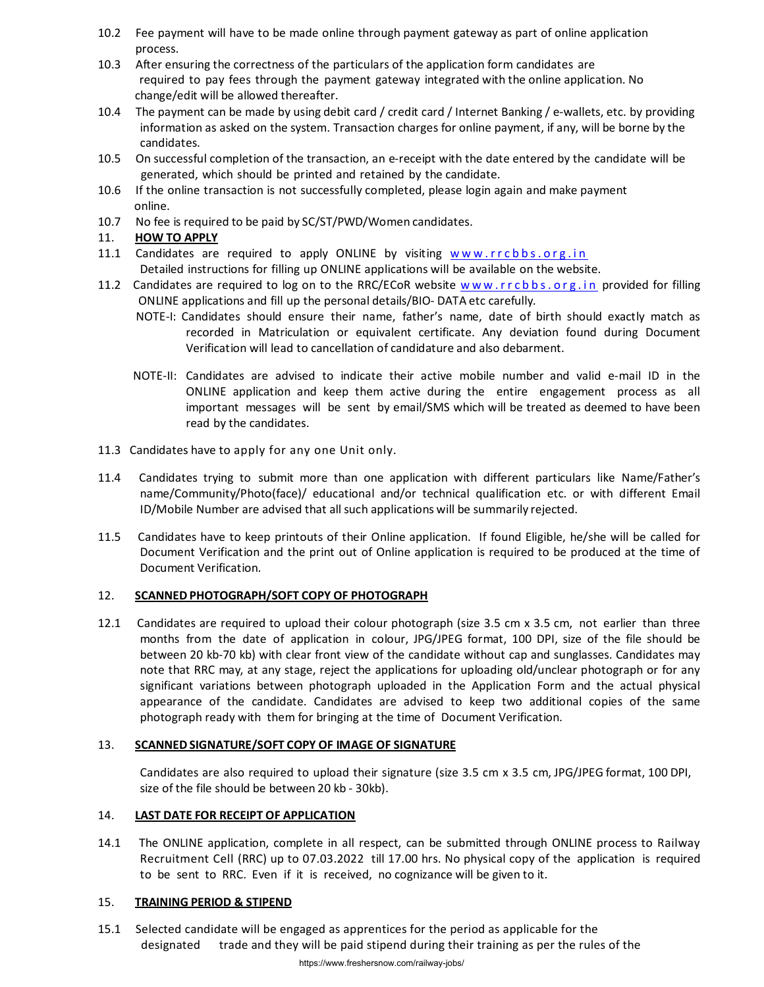- 10.2 Fee payment will have to be made online through payment gateway as part of online application process.
- 10.3 After ensuring the correctness of the particulars of the application form candidates are required to pay fees through the payment gateway integrated with the online application. No change/edit will be allowed thereafter.
- 10.4 The payment can be made by using debit card / credit card / Internet Banking / e-wallets, etc. by providing information as asked on the system. Transaction charges for online payment, if any, will be borne by the candidates.
- 10.5 On successful completion of the transaction, an e-receipt with the date entered by the candidate will be generated, which should be printed and retained by the candidate.
- 10.6 If the online transaction is not successfully completed, please login again and make payment online.
- 10.7 No fee is required to be paid by SC/ST/PWD/Women candidates.

## 11. HOW TO APPLY

- 11.1 Candidates are required to apply ONLINE by visiting www.rrcbbs.org.in Detailed instructions for filling up ONLINE applications will be available on the website.
- 11.2 Candidates are required to log on to the RRC/ECoR website www.rrcbbs.org.in provided for filling ONLINE applications and fill up the personal details/BIO- DATA etc carefully.
	- NOTE-I: Candidates should ensure their name, father's name, date of birth should exactly match as recorded in Matriculation or equivalent certificate. Any deviation found during Document Verification will lead to cancellation of candidature and also debarment.
	- NOTE-II: Candidates are advised to indicate their active mobile number and valid e-mail ID in the ONLINE application and keep them active during the entire engagement process as all important messages will be sent by email/SMS which will be treated as deemed to have been read by the candidates.
- 11.3 Candidates have to apply for any one Unit only.
- 11.4 Candidates trying to submit more than one application with different particulars like Name/Father's name/Community/Photo(face)/ educational and/or technical qualification etc. or with different Email ID/Mobile Number are advised that all such applications will be summarily rejected.
- 11.5 Candidates have to keep printouts of their Online application. If found Eligible, he/she will be called for Document Verification and the print out of Online application is required to be produced at the time of Document Verification.

#### 12. SCANNED PHOTOGRAPH/SOFT COPY OF PHOTOGRAPH

12.1 Candidates are required to upload their colour photograph (size 3.5 cm x 3.5 cm, not earlier than three months from the date of application in colour, JPG/JPEG format, 100 DPI, size of the file should be between 20 kb-70 kb) with clear front view of the candidate without cap and sunglasses. Candidates may note that RRC may, at any stage, reject the applications for uploading old/unclear photograph or for any significant variations between photograph uploaded in the Application Form and the actual physical appearance of the candidate. Candidates are advised to keep two additional copies of the same photograph ready with them for bringing at the time of Document Verification.

#### 13. SCANNED SIGNATURE/SOFT COPY OF IMAGE OF SIGNATURE

Candidates are also required to upload their signature (size 3.5 cm x 3.5 cm, JPG/JPEG format, 100 DPI, size of the file should be between 20 kb - 30kb).

#### 14. LAST DATE FOR RECEIPT OF APPLICATION

14.1 The ONLINE application, complete in all respect, can be submitted through ONLINE process to Railway Recruitment Cell (RRC) up to 07.03.2022 till 17.00 hrs. No physical copy of the application is required to be sent to RRC. Even if it is received, no cognizance will be given to it.

#### 15. TRAINING PERIOD & STIPEND

15.1 Selected candidate will be engaged as apprentices for the period as applicable for the designated trade and they will be paid stipend during their training as per the rules of the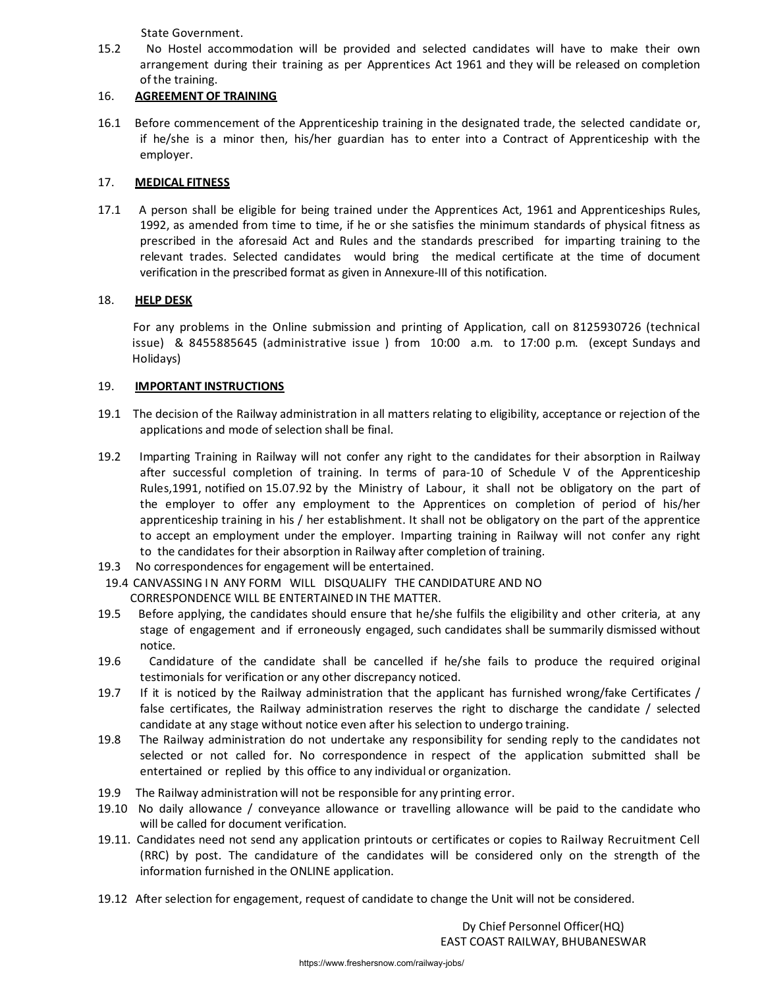State Government.

15.2 No Hostel accommodation will be provided and selected candidates will have to make their own arrangement during their training as per Apprentices Act 1961 and they will be released on completion of the training.

## 16. AGREEMENT OF TRAINING

16.1 Before commencement of the Apprenticeship training in the designated trade, the selected candidate or, if he/she is a minor then, his/her guardian has to enter into a Contract of Apprenticeship with the employer.

## 17. MEDICAL FITNESS

17.1 A person shall be eligible for being trained under the Apprentices Act, 1961 and Apprenticeships Rules, 1992, as amended from time to time, if he or she satisfies the minimum standards of physical fitness as prescribed in the aforesaid Act and Rules and the standards prescribed for imparting training to the relevant trades. Selected candidates would bring the medical certificate at the time of document verification in the prescribed format as given in Annexure-III of this notification.

## 18. HELP DESK

For any problems in the Online submission and printing of Application, call on 8125930726 (technical issue) & 8455885645 (administrative issue ) from 10:00 a.m. to 17:00 p.m. (except Sundays and Holidays)

## 19. **IMPORTANT INSTRUCTIONS**

- 19.1 The decision of the Railway administration in all matters relating to eligibility, acceptance or rejection of the applications and mode of selection shall be final.
- 19.2 Imparting Training in Railway will not confer any right to the candidates for their absorption in Railway after successful completion of training. In terms of para-10 of Schedule V of the Apprenticeship Rules,1991, notified on 15.07.92 by the Ministry of Labour, it shall not be obligatory on the part of the employer to offer any employment to the Apprentices on completion of period of his/her apprenticeship training in his / her establishment. It shall not be obligatory on the part of the apprentice to accept an employment under the employer. Imparting training in Railway will not confer any right to the candidates for their absorption in Railway after completion of training.
- 19.3 No correspondences for engagement will be entertained.
- 19.4 CANVASSING IN ANY FORM WILL DISQUALIFY THE CANDIDATURE AND NO CORRESPONDENCE WILL BE ENTERTAINED IN THE MATTER.
- 19.5 Before applying, the candidates should ensure that he/she fulfils the eligibility and other criteria, at any stage of engagement and if erroneously engaged, such candidates shall be summarily dismissed without notice.
- 19.6 Candidature of the candidate shall be cancelled if he/she fails to produce the required original testimonials for verification or any other discrepancy noticed.
- 19.7 If it is noticed by the Railway administration that the applicant has furnished wrong/fake Certificates / false certificates, the Railway administration reserves the right to discharge the candidate / selected candidate at any stage without notice even after his selection to undergo training.
- 19.8 The Railway administration do not undertake any responsibility for sending reply to the candidates not selected or not called for. No correspondence in respect of the application submitted shall be entertained or replied by this office to any individual or organization.
- 19.9 The Railway administration will not be responsible for any printing error.
- 19.10 No daily allowance / conveyance allowance or travelling allowance will be paid to the candidate who will be called for document verification.
- 19.11. Candidates need not send any application printouts or certificates or copies to Railway Recruitment Cell (RRC) by post. The candidature of the candidates will be considered only on the strength of the information furnished in the ONLINE application.
- 19.12 After selection for engagement, request of candidate to change the Unit will not be considered.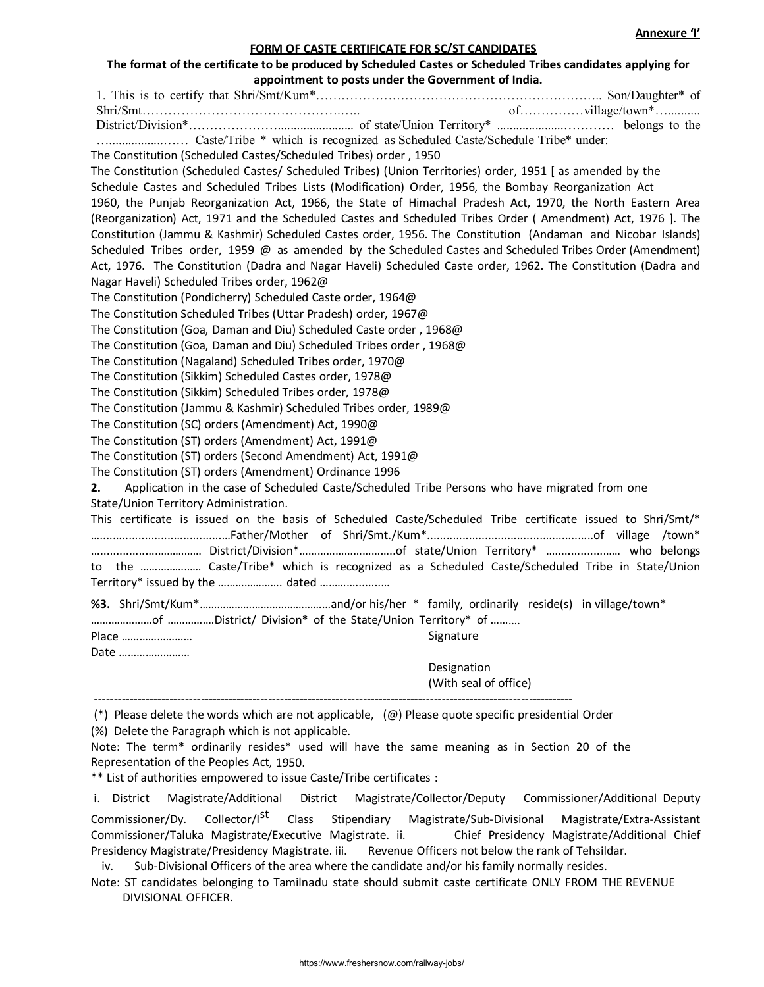## FORM OF CASTE CERTIFICATE FOR SC/ST CANDIDATES

#### The format of the certificate to be produced by Scheduled Castes or Scheduled Tribes candidates applying for appointment to posts under the Government of India.

1. This is to certify that Shri/Smt/Kum\*………………………………………………………….. Son/Daughter\* of Shri/Smt……………………………………….….. of……………village/town\*….......... District/Division\*…………………........................ of state/Union Territory\* .....................………… belongs to the ….................…… Caste/Tribe \* which is recognized as Scheduled Caste/Schedule Tribe\* under: The Constitution (Scheduled Castes/Scheduled Tribes) order , 1950 The Constitution (Scheduled Castes/ Scheduled Tribes) (Union Territories) order, 1951 [ as amended by the Schedule Castes and Scheduled Tribes Lists (Modification) Order, 1956, the Bombay Reorganization Act 1960, the Punjab Reorganization Act, 1966, the State of Himachal Pradesh Act, 1970, the North Eastern Area (Reorganization) Act, 1971 and the Scheduled Castes and Scheduled Tribes Order ( Amendment) Act, 1976 ]. The Constitution (Jammu & Kashmir) Scheduled Castes order, 1956. The Constitution (Andaman and Nicobar Islands) Scheduled Tribes order, 1959 @ as amended by the Scheduled Castes and Scheduled Tribes Order (Amendment) Act, 1976. The Constitution (Dadra and Nagar Haveli) Scheduled Caste order, 1962. The Constitution (Dadra and Nagar Haveli) Scheduled Tribes order, 1962@ The Constitution (Pondicherry) Scheduled Caste order, 1964@ The Constitution Scheduled Tribes (Uttar Pradesh) order, 1967@ The Constitution (Goa, Daman and Diu) Scheduled Caste order , 1968@ The Constitution (Goa, Daman and Diu) Scheduled Tribes order , 1968@ The Constitution (Nagaland) Scheduled Tribes order, 1970@ The Constitution (Sikkim) Scheduled Castes order, 1978@ The Constitution (Sikkim) Scheduled Tribes order, 1978@ The Constitution (Jammu & Kashmir) Scheduled Tribes order, 1989@ The Constitution (SC) orders (Amendment) Act, 1990@ The Constitution (ST) orders (Amendment) Act, 1991@ The Constitution (ST) orders (Second Amendment) Act, 1991@ The Constitution (ST) orders (Amendment) Ordinance 1996 2. Application in the case of Scheduled Caste/Scheduled Tribe Persons who have migrated from one State/Union Territory Administration. This certificate is issued on the basis of Scheduled Caste/Scheduled Tribe certificate issued to Shri/Smt/\* …......................................…Father/Mother of Shri/Smt./Kum\*....................................................of village /town\* .....................…………… District/Division\*…………………………..of state/Union Territory\* …...............…… who belongs to the ………………… Caste/Tribe\* which is recognized as a Scheduled Caste/Scheduled Tribe in State/Union Territory\* issued by the …………………. dated …………........… %3. Shri/Smt/Kum\*………………………………………and/or his/her \* family, ordinarily reside(s) in village/town\* …………………of …………….District/ Division\* of the State/Union Territory\* of ………. Place …………………… Date …………………… Signature Designation (With seal of office) -------------------------------------------------------------------------------------------------------------------------

(\*) Please delete the words which are not applicable,  $(\varpi)$  Please quote specific presidential Order

(%) Delete the Paragraph which is not applicable.

Note: The term\* ordinarily resides\* used will have the same meaning as in Section 20 of the Representation of the Peoples Act, 1950.

\*\* List of authorities empowered to issue Caste/Tribe certificates :

i. District Magistrate/Additional District Magistrate/Collector/Deputy Commissioner/Additional Deputy

Commissioner/Dy. Collector/I<sup>st</sup> Class Stipendiary Magistrate/Sub-Divisional Magistrate/Extra-Assistant Commissioner/Taluka Magistrate/Executive Magistrate. ii. Chief Presidency Magistrate/Additional Chief Presidency Magistrate/Presidency Magistrate. iii. Revenue Officers not below the rank of Tehsildar.

iv. Sub-Divisional Officers of the area where the candidate and/or his family normally resides.

Note: ST candidates belonging to Tamilnadu state should submit caste certificate ONLY FROM THE REVENUE DIVISIONAL OFFICER.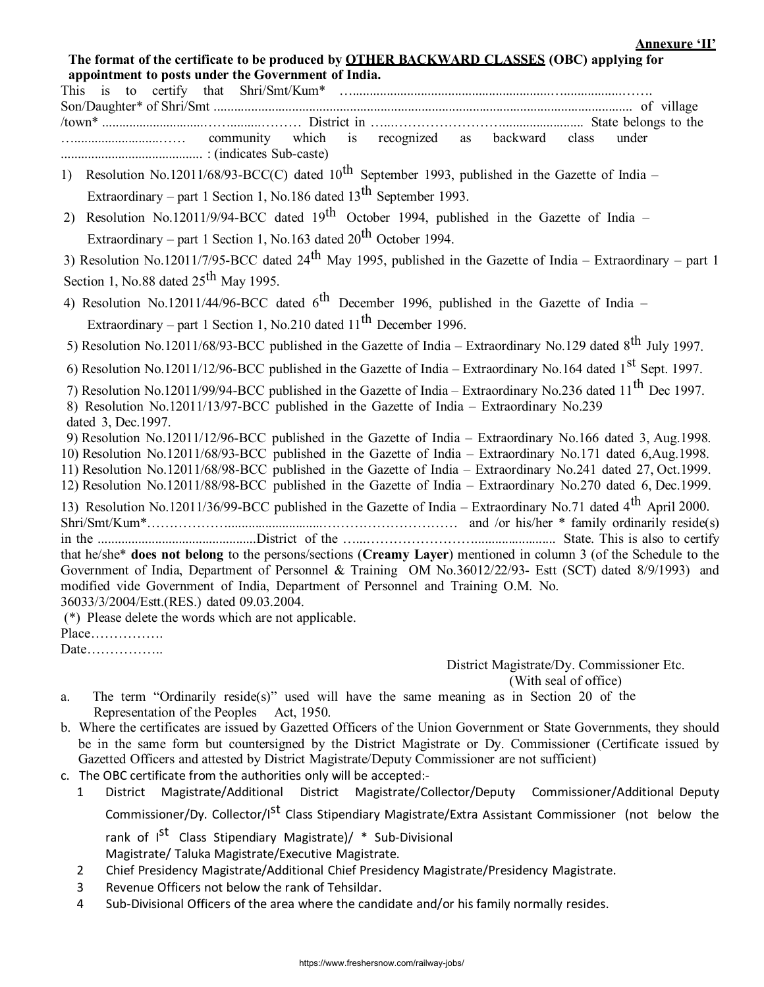The format of the certificate to be produced by OTHER BACKWARD CLASSES (OBC) applying for appointment to posts under the Government of India.

This is to certify that Shri/Smt/Kum\* …..........................................................….................……. Son/Daughter\* of Shri/Smt ........................................................................................................................... of village /town\* ..............................…….........……… District in …...……………………........................ State belongs to the ….........................…… community which is recognized as backward class under .......................................... : (indicates Sub-caste)

1) Resolution No.12011/68/93-BCC(C) dated 10<sup>th</sup> September 1993, published in the Gazette of India – Extraordinary – part 1 Section 1, No.186 dated  $13<sup>th</sup>$  September 1993.

2) Resolution No.12011/9/94-BCC dated  $19<sup>th</sup>$  October 1994, published in the Gazette of India – Extraordinary – part 1 Section 1, No.163 dated  $20^{th}$  October 1994.

3) Resolution No.12011/7/95-BCC dated 24<sup>th</sup> May 1995, published in the Gazette of India – Extraordinary – part 1 Section 1, No.88 dated  $25<sup>th</sup>$  May 1995.

4) Resolution No.12011/44/96-BCC dated  $6^{th}$  December 1996, published in the Gazette of India – Extraordinary – part 1 Section 1, No.210 dated  $11<sup>th</sup>$  December 1996.

5) Resolution No.12011/68/93-BCC published in the Gazette of India – Extraordinary No.129 dated 8<sup>th</sup> July 1997.

6) Resolution No.12011/12/96-BCC published in the Gazette of India – Extraordinary No.164 dated 1<sup>st</sup> Sept. 1997.

7) Resolution No.12011/99/94-BCC published in the Gazette of India – Extraordinary No.236 dated 11<sup>th</sup> Dec 1997. 8) Resolution No.12011/13/97-BCC published in the Gazette of India – Extraordinary No.239

dated 3, Dec.1997.

9) Resolution No.12011/12/96-BCC published in the Gazette of India – Extraordinary No.166 dated 3, Aug.1998.

- 10) Resolution No.12011/68/93-BCC published in the Gazette of India Extraordinary No.171 dated 6,Aug.1998.
- 11) Resolution No.12011/68/98-BCC published in the Gazette of India Extraordinary No.241 dated 27, Oct.1999.
- 12) Resolution No.12011/88/98-BCC published in the Gazette of India Extraordinary No.270 dated 6, Dec.1999.

13) Resolution No.12011/36/99-BCC published in the Gazette of India – Extraordinary No.71 dated 4<sup>th</sup> April 2000. Shri/Smt/Kum\*………………............................………………………… and /or his/her \* family ordinarily reside(s) in the ...............................................District of the …...……………………........................ State. This is also to certify that he/she\* does not belong to the persons/sections (Creamy Layer) mentioned in column 3 (of the Schedule to the Government of India, Department of Personnel & Training OM No.36012/22/93- Estt (SCT) dated 8/9/1993) and modified vide Government of India, Department of Personnel and Training O.M. No.

36033/3/2004/Estt.(RES.) dated 09.03.2004.

(\*) Please delete the words which are not applicable.

Place…………….

Date……………..

District Magistrate/Dy. Commissioner Etc.

(With seal of office)

- a. The term "Ordinarily reside(s)" used will have the same meaning as in Section 20 of the Representation of the Peoples Act, 1950.
- b. Where the certificates are issued by Gazetted Officers of the Union Government or State Governments, they should be in the same form but countersigned by the District Magistrate or Dy. Commissioner (Certificate issued by Gazetted Officers and attested by District Magistrate/Deputy Commissioner are not sufficient)
- c. The OBC certificate from the authorities only will be accepted:-
	- 1 District Magistrate/Additional District Magistrate/Collector/Deputy Commissioner/Additional Deputy Commissioner/Dy. Collector/I<sup>st</sup> Class Stipendiary Magistrate/Extra Assistant Commissioner (not below the rank of I<sup>st</sup> Class Stipendiary Magistrate)/ \* Sub-Divisional Magistrate/ Taluka Magistrate/Executive Magistrate.
	- 2 Chief Presidency Magistrate/Additional Chief Presidency Magistrate/Presidency Magistrate.
	- 3 Revenue Officers not below the rank of Tehsildar.
	- 4 Sub-Divisional Officers of the area where the candidate and/or his family normally resides.